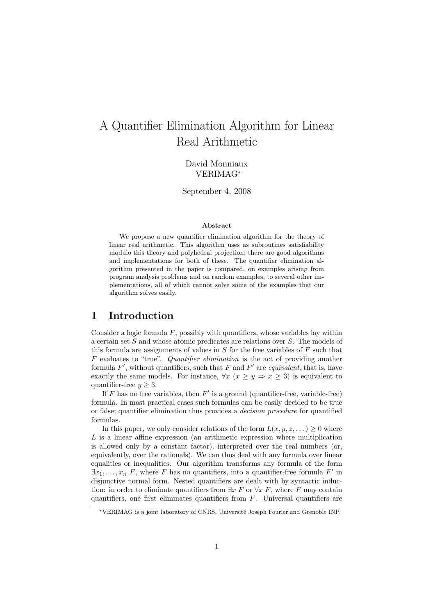# A Quantifier Elimination Algorithm for Linear Real Arithmetic

David Monniaux VERIMAG<sup>∗</sup>

September 4, 2008

#### Abstract

We propose a new quantifier elimination algorithm for the theory of linear real arithmetic. This algorithm uses as subroutines satisfiability modulo this theory and polyhedral projection; there are good algorithms and implementations for both of these. The quantifier elimination algorithm presented in the paper is compared, on examples arising from program analysis problems and on random examples, to several other implementations, all of which cannot solve some of the examples that our algorithm solves easily.

# 1 Introduction

Consider a logic formula  $F$ , possibly with quantifiers, whose variables lay within a certain set S and whose atomic predicates are relations over S. The models of this formula are assignments of values in  $S$  for the free variables of  $F$  such that F evaluates to "true". Quantifier elimination is the act of providing another formula  $F'$ , without quantifiers, such that F and  $F'$  are equivalent, that is, have exactly the same models. For instance,  $\forall x \ (x \geq y \Rightarrow x \geq 3)$  is equivalent to quantifier-free  $y \geq 3$ .

If  $F$  has no free variables, then  $F'$  is a ground (quantifier-free, variable-free) formula. In most practical cases such formulas can be easily decided to be true or false; quantifier elimination thus provides a decision procedure for quantified formulas.

In this paper, we only consider relations of the form  $L(x, y, z, ...) \geq 0$  where  $L$  is a linear affine expression (an arithmetic expression where multiplication is allowed only by a constant factor), interpreted over the real numbers (or, equivalently, over the rationals). We can thus deal with any formula over linear equalities or inequalities. Our algorithm transforms any formula of the form  $\exists x_1, \ldots, x_n$  F, where F has no quantifiers, into a quantifier-free formula F' in disjunctive normal form. Nested quantifiers are dealt with by syntactic induction: in order to eliminate quantifiers from  $\exists x \ F$  or  $\forall x \ F$ , where F may contain quantifiers, one first eliminates quantifiers from  $F$ . Universal quantifiers are

<sup>∗</sup>VERIMAG is a joint laboratory of CNRS, Universit´e Joseph Fourier and Grenoble INP.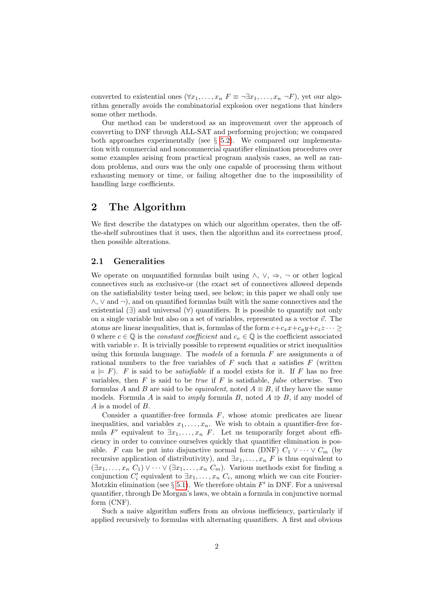converted to existential ones  $(\forall x_1, \ldots, x_n \ F \equiv \neg \exists x_1, \ldots, x_n \ \neg F)$ , yet our algorithm generally avoids the combinatorial explosion over negations that hinders some other methods.

Our method can be understood as an improvement over the approach of converting to DNF through ALL-SAT and performing projection; we compared both approaches experimentally (see § [5.2\)](#page-10-0). We compared our implementation with commercial and noncommercial quantifier elimination procedures over some examples arising from practical program analysis cases, as well as random problems, and ours was the only one capable of processing them without exhausting memory or time, or failing altogether due to the impossibility of handling large coefficients.

# 2 The Algorithm

We first describe the datatypes on which our algorithm operates, then the offthe-shelf subroutines that it uses, then the algorithm and its correctness proof, then possible alterations.

#### 2.1 Generalities

We operate on unquantified formulas built using  $\land$ ,  $\lor$ ,  $\Rightarrow$ ,  $\neg$  or other logical connectives such as exclusive-or (the exact set of connectives allowed depends on the satisfiability tester being used, see below; in this paper we shall only use ∧, ∨ and ¬), and on quantified formulas built with the same connectives and the existential  $(\exists)$  and universal  $(\forall)$  quantifiers. It is possible to quantify not only on a single variable but also on a set of variables, represented as a vector  $\vec{v}$ . The atoms are linear inequalities, that is, formulas of the form  $c+c_xx+c_yy+c_zz \cdots \geq$ 0 where  $c \in \mathbb{Q}$  is the *constant coefficient* and  $c_v \in \mathbb{Q}$  is the coefficient associated with variable  $v$ . It is trivially possible to represent equalities or strict inequalities using this formula language. The models of a formula  $F$  are assignments  $a$  of rational numbers to the free variables of  $F$  such that  $a$  satisfies  $F$  (written  $a \models F$ ). F is said to be *satisfiable* if a model exists for it. If F has no free variables, then  $F$  is said to be *true* if  $F$  is satisfiable, *false* otherwise. Two formulas A and B are said to be *equivalent*, noted  $A \equiv B$ , if they have the same models. Formula A is said to *imply* formula B, noted  $A \Rightarrow B$ , if any model of A is a model of B.

Consider a quantifier-free formula  $F$ , whose atomic predicates are linear inequalities, and variables  $x_1, \ldots, x_n$ . We wish to obtain a quantifier-free formula  $F'$  equivalent to  $\exists x_1, \ldots, x_n$  F. Let us temporarily forget about efficiency in order to convince ourselves quickly that quantifier elimination is possible. F can be put into disjunctive normal form (DNF)  $C_1 \vee \cdots \vee C_m$  (by recursive application of distributivity), and  $\exists x_1, \ldots, x_n$  F is thus equivalent to  $(\exists x_1, \ldots, x_n \; C_1) \vee \cdots \vee (\exists x_1, \ldots, x_n \; C_m)$ . Various methods exist for finding a conjunction  $C_i'$  equivalent to  $\exists x_1, \ldots, x_n$   $C_i$ , among which we can cite Fourier-Motzkin elimination (see  $\S 5.1$ ). We therefore obtain  $F'$  in DNF. For a universal quantifier, through De Morgan's laws, we obtain a formula in conjunctive normal form (CNF).

Such a naive algorithm suffers from an obvious inefficiency, particularly if applied recursively to formulas with alternating quantifiers. A first and obvious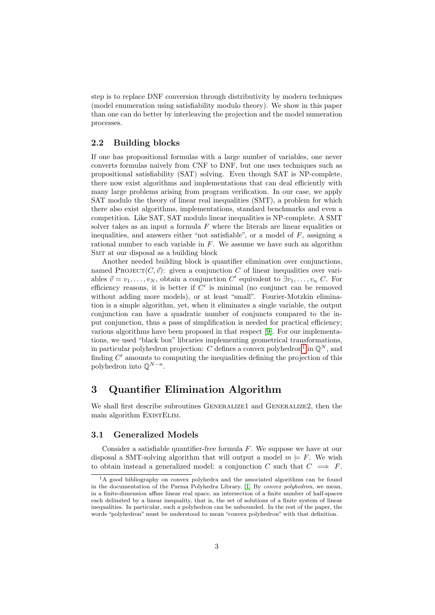step is to replace DNF conversion through distributivity by modern techniques (model enumeration using satisfiability modulo theory). We show in this paper than one can do better by interleaving the projection and the model numeration processes.

### 2.2 Building blocks

If one has propositional formulas with a large number of variables, one never converts formulas naively from CNF to DNF, but one uses techniques such as propositional satisfiability (SAT) solving. Even though SAT is NP-complete, there now exist algorithms and implementations that can deal efficiently with many large problems arising from program verification. In our case, we apply SAT modulo the theory of linear real inequalities (SMT), a problem for which there also exist algorithms, implementations, standard benchmarks and even a competition. Like SAT, SAT modulo linear inequalities is NP-complete. A SMT solver takes as an input a formula  $F$  where the literals are linear equalities or inequalities, and answers either "not satisfiable", or a model of  $F$ , assigning a rational number to each variable in  $F$ . We assume we have such an algorithm SMT at our disposal as a building block

Another needed building block is quantifier elimination over conjunctions, named PROJECT $(C, \vec{v})$ : given a conjunction C of linear inequalities over variables  $\vec{v} = v_1, \dots, v_N$ , obtain a conjunction C' equivalent to  $\exists v_1, \dots, v_n$  C. For efficiency reasons, it is better if  $C'$  is minimal (no conjunct can be removed without adding more models), or at least "small". Fourier-Motzkin elimination is a simple algorithm, yet, when it eliminates a single variable, the output conjunction can have a quadratic number of conjuncts compared to the input conjunction, thus a pass of simplification is needed for practical efficiency; various algorithms have been proposed in that respect [\[9\]](#page-14-0). For our implementations, we used "black box" libraries implementing geometrical transformations, in particular polyhedron projection: C defines a convex polyhedron<sup>[1](#page-2-0)</sup> in  $\mathbb{Q}^N$ , and finding  $C'$  amounts to computing the inequalities defining the projection of this polyhedron into  $\mathbb{O}^{N-n}$ .

# <span id="page-2-1"></span>3 Quantifier Elimination Algorithm

We shall first describe subroutines GENERALIZE1 and GENERALIZE2, then the main algorithm EXISTELIM.

### 3.1 Generalized Models

Consider a satisfiable quantifier-free formula F. We suppose we have at our disposal a SMT-solving algorithm that will output a model  $m \models F$ . We wish to obtain instead a generalized model: a conjunction C such that  $C \implies F$ .

<span id="page-2-0"></span> $1$ A good bibliography on convex polyhedra and the associated algorithms can be found in the documentation of the Parma Polyhedra Library. [\[1\]](#page-13-0) By convex polyhedron, we mean, in a finite-dimension affine linear real space, an intersection of a finite number of half-spaces each delimited by a linear inequality, that is, the set of solutions of a finite system of linear inequalities. In particular, such a polyhedron can be unbounded. In the rest of the paper, the words "polyhedron" must be understood to mean "convex polyhedron" with that definition.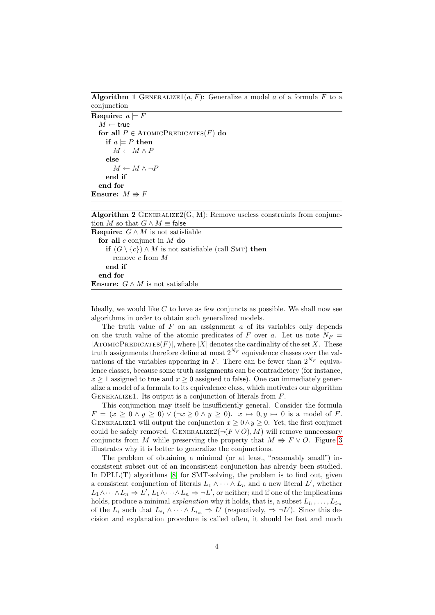**Algorithm 1** GENERALIZE1 $(a, F)$ : Generalize a model a of a formula F to a conjunction

Require:  $a \models F$  $M \leftarrow$  true for all  $P \in$  ATOMICPREDICATES(F) do if  $a \models P$  then  $M \leftarrow M \wedge P$ else  $M \leftarrow M \wedge \neg P$ end if end for Ensure:  $M \Rrightarrow F$ 

| <b>Algorithm 2</b> GENERALIZE2(G, M): Remove useless constraints from conjunc- |
|--------------------------------------------------------------------------------|
| tion M so that $G \wedge M \equiv$ false                                       |
| <b>Require:</b> $G \wedge M$ is not satisfiable                                |
| for all $c$ conjunct in $M$ do                                                 |
| <b>if</b> $(G \setminus \{c\}) \wedge M$ is not satisfiable (call SMT) then    |
| remove $c$ from $M$                                                            |
| end if                                                                         |
| end for                                                                        |
| <b>Ensure:</b> $G \wedge M$ is not satisfiable                                 |

Ideally, we would like  $C$  to have as few conjuncts as possible. We shall now see algorithms in order to obtain such generalized models.

The truth value of  $F$  on an assignment  $a$  of its variables only depends on the truth value of the atomic predicates of F over a. Let us note  $N_F =$  $|A \text{TOMICPREDICATES}(F)|$ , where  $|X|$  denotes the cardinality of the set X. These truth assignments therefore define at most  $2^{N_F}$  equivalence classes over the valuations of the variables appearing in F. There can be fewer than  $2^{N_F}$  equivalence classes, because some truth assignments can be contradictory (for instance,  $x \geq 1$  assigned to true and  $x \geq 0$  assigned to false). One can immediately generalize a model of a formula to its equivalence class, which motivates our algorithm GENERALIZE1. Its output is a conjunction of literals from  $F$ .

This conjunction may itself be insufficiently general. Consider the formula  $F = (x > 0 \land y > 0) \lor (\neg x > 0 \land y > 0).$   $x \mapsto 0, y \mapsto 0$  is a model of F. GENERALIZE1 will output the conjunction  $x > 0 \land y > 0$ . Yet, the first conjunct could be safely removed. GENERALIZE2( $\neg (F \lor O), M$ ) will remove unnecessary conjuncts from M while preserving the property that  $M \Rightarrow F \vee O$ . Figure [3](#page-6-0) illustrates why it is better to generalize the conjunctions.

The problem of obtaining a minimal (or at least, "reasonably small") inconsistent subset out of an inconsistent conjunction has already been studied. In  $DPLL(T)$  algorithms  $[8]$  for SMT-solving, the problem is to find out, given a consistent conjunction of literals  $L_1 \wedge \cdots \wedge L_n$  and a new literal L', whether  $L_1 \wedge \cdots \wedge L_n \Rightarrow L', L_1 \wedge \cdots \wedge L_n \Rightarrow \neg L'$ , or neither; and if one of the implications holds, produce a minimal *explanation* why it holds, that is, a subset  $L_{i_1}, \ldots, L_{i_m}$ of the  $L_i$  such that  $L_{i_1} \wedge \cdots \wedge L_{i_m} \Rightarrow L'$  (respectively,  $\Rightarrow \neg L'$ ). Since this decision and explanation procedure is called often, it should be fast and much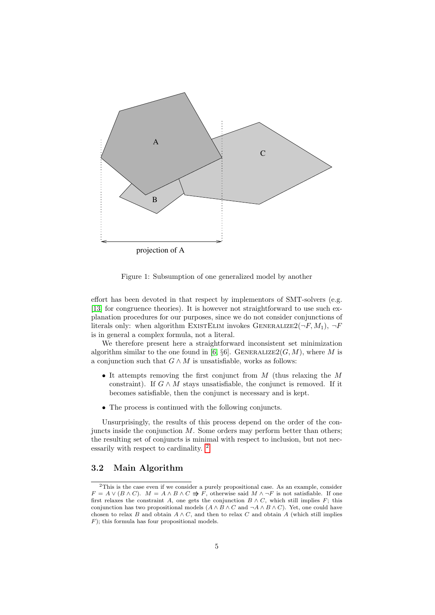

<span id="page-4-1"></span>Figure 1: Subsumption of one generalized model by another

effort has been devoted in that respect by implementors of SMT-solvers (e.g. [\[13\]](#page-14-2) for congruence theories). It is however not straightforward to use such explanation procedures for our purposes, since we do not consider conjunctions of literals only: when algorithm EXISTELIM invokes GENERALIZE2( $\neg F, M_1$ ),  $\neg F$ is in general a complex formula, not a literal.

We therefore present here a straightforward inconsistent set minimization algorithm similar to the one found in [\[6,](#page-14-3)  $\S6$ ]. GENERALIZE2(G, M), where M is a conjunction such that  $G \wedge M$  is unsatisfiable, works as follows:

- It attempts removing the first conjunct from  $M$  (thus relaxing the  $M$ constraint). If  $G \wedge M$  stays unsatisfiable, the conjunct is removed. If it becomes satisfiable, then the conjunct is necessary and is kept.
- The process is continued with the following conjuncts.

Unsurprisingly, the results of this process depend on the order of the conjuncts inside the conjunction  $M$ . Some orders may perform better than others; the resulting set of conjuncts is minimal with respect to inclusion, but not necessarily with respect to cardinality. [2](#page-4-0)

### 3.2 Main Algorithm

<span id="page-4-0"></span><sup>&</sup>lt;sup>2</sup>This is the case even if we consider a purely propositional case. As an example, consider  $F = A \vee (B \wedge C)$ .  $M = A \wedge B \wedge C \Rightarrow F$ , otherwise said  $M \wedge \neg F$  is not satisfiable. If one first relaxes the constraint A, one gets the conjunction  $B \wedge C$ , which still implies F; this conjunction has two propositional models  $(A \wedge B \wedge C$  and  $\neg A \wedge B \wedge C)$ . Yet, one could have chosen to relax B and obtain  $A \wedge C$ , and then to relax C and obtain A (which still implies  $(F)$ ; this formula has four propositional models.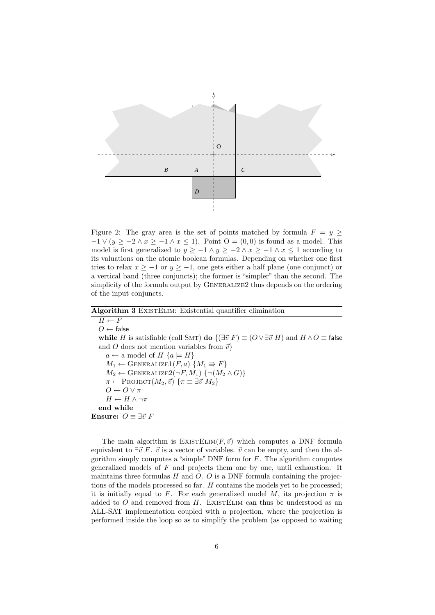

Figure 2: The gray area is the set of points matched by formula  $F = y \geq$  $-1 \vee (y \geq -2 \wedge x \geq -1 \wedge x \leq 1)$ . Point  $O = (0,0)$  is found as a model. This model is first generalized to  $y \ge -1 \land y \ge -2 \land x \ge -1 \land x \le 1$  according to its valuations on the atomic boolean formulas. Depending on whether one first tries to relax  $x \ge -1$  or  $y \ge -1$ , one gets either a half plane (one conjunct) or a vertical band (three conjuncts); the former is "simpler" than the second. The simplicity of the formula output by GENERALIZE2 thus depends on the ordering of the input conjuncts.

#### Algorithm 3 ExistElim: Existential quantifier elimination

 $H \leftarrow F$  $O \leftarrow$  false while H is satisfiable (call SMT) do  $\{(\exists \vec{v} F) \equiv (O \vee \exists \vec{v} H) \text{ and } H \wedge O \equiv \text{false}$ and O does not mention variables from  $\vec{v}$ }  $a \leftarrow$  a model of  $H \{a \models H\}$  $M_1 \leftarrow$  GENERALIZE1 $(F, a)$   $\{M_1 \rightrightarrows F\}$  $M_2 \leftarrow$  GENERALIZE2( $\neg F, M_1$ ) { $\neg (M_2 \wedge G)$ }  $\pi \leftarrow \text{PROJECT}(M_2, \vec{v}) \{ \pi \equiv \exists \vec{v} \; M_2 \}$  $O \leftarrow O \vee \pi$  $H \leftarrow H \wedge \neg \pi$ end while Ensure:  $O \equiv \exists \vec{v} \ F$ 

The main algorithm is  $\text{ExistELM}(F, \vec{v})$  which computes a DNF formula equivalent to  $\exists \vec{v}~F.~\vec{v}$  is a vector of variables.  $\vec{v}$  can be empty, and then the algorithm simply computes a "simple" DNF form for  $F$ . The algorithm computes generalized models of F and projects them one by one, until exhaustion. It maintains three formulas  $H$  and  $O$ .  $O$  is a DNF formula containing the projections of the models processed so far. H contains the models yet to be processed; it is initially equal to F. For each generalized model M, its projection  $\pi$  is added to  $O$  and removed from  $H$ . EXISTELIM can thus be understood as an ALL-SAT implementation coupled with a projection, where the projection is performed inside the loop so as to simplify the problem (as opposed to waiting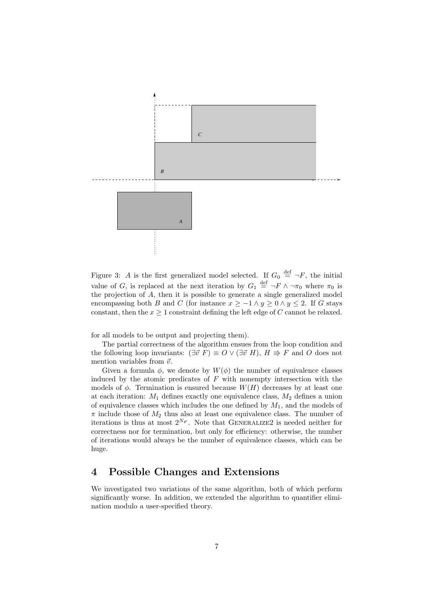

<span id="page-6-0"></span>Figure 3: A is the first generalized model selected. If  $G_0 \stackrel{\text{def}}{=} \neg F$ , the initial value of G, is replaced at the next iteration by  $G_1 \stackrel{\text{def}}{=} \neg F \wedge \neg \pi_0$  where  $\pi_0$  is the projection of  $A$ , then it is possible to generate a single generalized model encompassing both B and C (for instance  $x \ge -1 \wedge y \ge 0 \wedge y \le 2$ . If G stays constant, then the  $x \ge 1$  constraint defining the left edge of C cannot be relaxed.

for all models to be output and projecting them).

The partial correctness of the algorithm ensues from the loop condition and the following loop invariants:  $(\exists \vec{v} \ F) \equiv O \vee (\exists \vec{v} \ H), H \Rightarrow F$  and O does not mention variables from  $\vec{v}$ .

Given a formula  $\phi$ , we denote by  $W(\phi)$  the number of equivalence classes induced by the atomic predicates of  $F$  with nonempty intersection with the models of  $\phi$ . Termination is ensured because  $W(H)$  decreases by at least one at each iteration:  $M_1$  defines exactly one equivalence class,  $M_2$  defines a union of equivalence classes which includes the one defined by  $M_1$ , and the models of  $\pi$  include those of  $M_2$  thus also at least one equivalence class. The number of iterations is thus at most  $2^{N_F}$ . Note that GENERALIZE2 is needed neither for correctness nor for termination, but only for efficiency: otherwise, the number of iterations would always be the number of equivalence classes, which can be huge.

### <span id="page-6-1"></span>4 Possible Changes and Extensions

We investigated two variations of the same algorithm, both of which perform significantly worse. In addition, we extended the algorithm to quantifier elimination modulo a user-specified theory.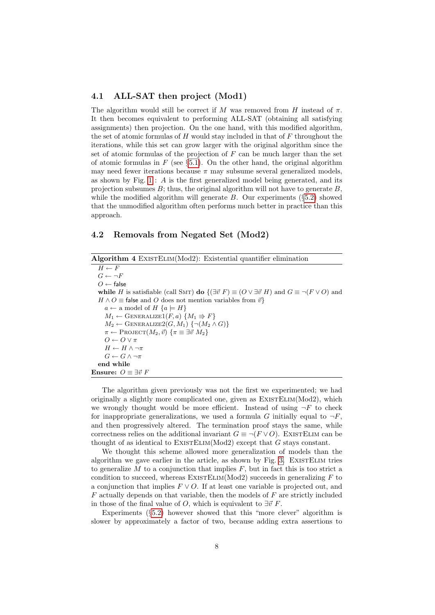#### <span id="page-7-0"></span>4.1 ALL-SAT then project (Mod1)

The algorithm would still be correct if M was removed from H instead of  $\pi$ . It then becomes equivalent to performing ALL-SAT (obtaining all satisfying assignments) then projection. On the one hand, with this modified algorithm, the set of atomic formulas of H would stay included in that of  $F$  throughout the iterations, while this set can grow larger with the original algorithm since the set of atomic formulas of the projection of  $F$  can be much larger than the set of atomic formulas in  $F$  (see §[5.1\)](#page-8-0). On the other hand, the original algorithm may need fewer iterations because  $\pi$  may subsume several generalized models, as shown by Fig.  $1: A$  is the first generalized model being generated, and its projection subsumes  $B$ ; thus, the original algorithm will not have to generate  $B$ , while the modified algorithm will generate  $B$ . Our experiments ( $\S5.2$ ) showed that the unmodified algorithm often performs much better in practice than this approach.

### 4.2 Removals from Negated Set (Mod2)

<span id="page-7-1"></span>

| <b>Algorithm 4</b> EXISTELIM( $Mod2$ ): Existential quantifier elimination                                                                            |
|-------------------------------------------------------------------------------------------------------------------------------------------------------|
| $H \leftarrow F$                                                                                                                                      |
| $G \leftarrow \neg F$                                                                                                                                 |
| $O \leftarrow$ false                                                                                                                                  |
| while H is satisfiable (call SMT) do $\{(\exists \vec{v} \ F) \equiv (O \lor \exists \vec{v} \ H) \text{ and } G \equiv \neg (F \lor O) \text{ and }$ |
| $H \wedge O \equiv \text{false}$ and O does not mention variables from $\vec{v}$                                                                      |
| $a \leftarrow$ a model of $H \{a \models H\}$                                                                                                         |
| $M_1 \leftarrow$ GENERALIZE1 $(F, a)$ $\{M_1 \Rightarrow F\}$                                                                                         |
| $M_2 \leftarrow$ GENERALIZE2(G, $M_1$ ) $\{\neg(M_2 \wedge G)\}\$                                                                                     |
| $\pi \leftarrow \text{PROJECT}(M_2, \vec{v}) \{\pi \equiv \exists \vec{v} M_2\}$                                                                      |
| $O \leftarrow O \vee \pi$                                                                                                                             |
| $H \leftarrow H \wedge \neg \pi$                                                                                                                      |
| $G \leftarrow G \wedge \neg \pi$                                                                                                                      |
| end while                                                                                                                                             |
| Ensure: $O\equiv \exists \vec{v}\; F$                                                                                                                 |

The algorithm given previously was not the first we experimented; we had originally a slightly more complicated one, given as  $\text{EXISTELIM}(Mod2)$ , which we wrongly thought would be more efficient. Instead of using  $\neg F$  to check for inappropriate generalizations, we used a formula G initially equal to  $\neg F$ , and then progressively altered. The termination proof stays the same, while correctness relies on the additional invariant  $G \equiv \neg (F \lor O)$ . EXISTELIM can be thought of as identical to  $EXISTELIM(Mod2)$  except that  $G$  stays constant.

We thought this scheme allowed more generalization of models than the algorithm we gave earlier in the article, as shown by Fig. [3.](#page-6-0) EXISTELIM tries to generalize  $M$  to a conjunction that implies  $F$ , but in fact this is too strict a condition to succeed, whereas  $EXISTELIM(Mod2)$  succeeds in generalizing  $F$  to a conjunction that implies  $F \vee O$ . If at least one variable is projected out, and  $F$  actually depends on that variable, then the models of  $F$  are strictly included in those of the final value of O, which is equivalent to  $\exists \vec{v} \ F$ .

Experiments  $(\S5.2)$  $(\S5.2)$  however showed that this "more clever" algorithm is slower by approximately a factor of two, because adding extra assertions to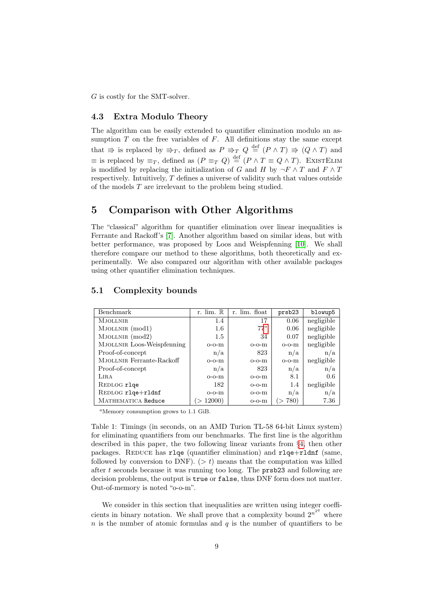G is costly for the SMT-solver.

#### 4.3 Extra Modulo Theory

The algorithm can be easily extended to quantifier elimination modulo an assumption  $T$  on the free variables of  $F$ . All definitions stay the same except that  $\Rightarrow$  is replaced by  $\Rightarrow_T$ , defined as  $P \Rightarrow_T Q \stackrel{\text{def}}{=} (P \wedge T) \Rightarrow (Q \wedge T)$  and  $\equiv$  is replaced by  $\equiv_T$ , defined as  $(P \equiv_T Q) \stackrel{\text{def}}{=} (P \wedge T \equiv Q \wedge T)$ . EXISTELIM is modified by replacing the initialization of G and H by  $\neg F \wedge T$  and  $F \wedge T$ respectively. Intuitively, T defines a universe of validity such that values outside of the models  $T$  are irrelevant to the problem being studied.

# 5 Comparison with Other Algorithms

The "classical" algorithm for quantifier elimination over linear inequalities is Ferrante and Rackoff's [\[7\]](#page-14-4). Another algorithm based on similar ideas, but with better performance, was proposed by Loos and Weispfenning [\[10\]](#page-14-5). We shall therefore compare our method to these algorithms, both theoretically and experimentally. We also compared our algorithm with other available packages using other quantifier elimination techniques.

| Benchmark                  | r. lim. $\mathbb R$ | r. lim. float   | prsb23          | blowup5    |
|----------------------------|---------------------|-----------------|-----------------|------------|
| <b>MJOLLNIR</b>            | 1.4                 | 17              | 0.06            | negligible |
| MJOLLNIR (mod1)            | $1.6\,$             | $77^a$          | 0.06            | negligible |
| MJOLINIR (mod 2)           | 1.5                 | 34              | 0.07            | negligible |
| MJOLLNIR Loos-Weispfenning | $o$ - $o$ - $m$     | $o$ - $o$ - $m$ | $o$ - $o$ - $m$ | negligible |
| Proof-of-concept           | n/a                 | 823             | n/a             | n/a        |
| MJOLLNIR Ferrante-Rackoff  | $0 - 0 - m$         | $O-O-M$         | $o$ - $o$ - $m$ | negligible |
| Proof-of-concept           | n/a                 | 823             | n/a             | n/a        |
| LIRA                       | $0 - 0 - m$         | $O-O-M$         | 8.1             | 0.6        |
| REDLOG rlqe                | 182                 | $O-O-M$         | $1.4\,$         | negligible |
| REDLOG rlge+rldnf          | $o$ - $o$ - $m$     | $o$ - $o$ - $m$ | n/a             | n/a        |
| MATHEMATICA Reduce         | 12000)              | $o$ - $o$ - $m$ | 780)            | 7.36       |

#### <span id="page-8-0"></span>5.1 Complexity bounds

<span id="page-8-2"></span><span id="page-8-1"></span><sup>a</sup>Memory consumption grows to  $1.1$  GiB.

Table 1: Timings (in seconds, on an AMD Turion TL-58 64-bit Linux system) for eliminating quantifiers from our benchmarks. The first line is the algorithm described in this paper, the two following linear variants from §[4,](#page-6-1) then other packages. REDUCE has rlge (quantifier elimination) and rlge+rldnf (same, followed by conversion to DNF).  $(> t)$  means that the computation was killed after t seconds because it was running too long. The prsb23 and following are decision problems, the output is true or false, thus DNF form does not matter. Out-of-memory is noted "o-o-m".

We consider in this section that inequalities are written using integer coefficients in binary notation. We shall prove that a complexity bound  $2^{n^{2^q}}$  where n is the number of atomic formulas and  $q$  is the number of quantifiers to be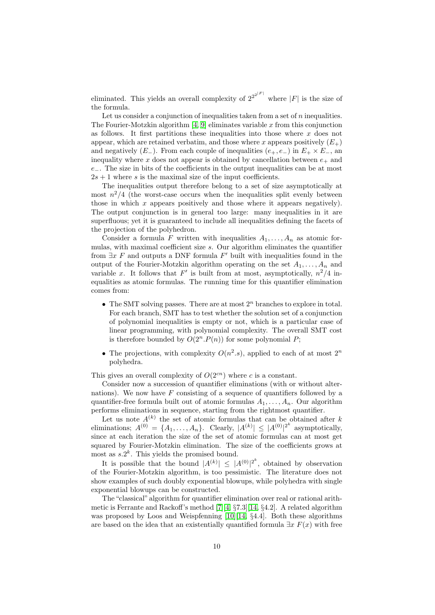eliminated. This yields an overall complexity of  $2^{2^{2|F|}}$  where |F| is the size of the formula.

Let us consider a conjunction of inequalities taken from a set of  $n$  inequalities. The Fourier-Motzkin algorithm  $[4, 9]$  $[4, 9]$  eliminates variable x from this conjunction as follows. It first partitions these inequalities into those where  $x$  does not appear, which are retained verbatim, and those where x appears positively  $(E_{+})$ and negatively  $(E_-)$ . From each couple of inequalities  $(e_+, e_-)$  in  $E_+ \times E_-,$  an inequality where x does not appear is obtained by cancellation between  $e_{+}$  and e−. The size in bits of the coefficients in the output inequalities can be at most  $2s + 1$  where s is the maximal size of the input coefficients.

The inequalities output therefore belong to a set of size asymptotically at most  $n^2/4$  (the worst-case occurs when the inequalities split evenly between those in which  $x$  appears positively and those where it appears negatively). The output conjunction is in general too large: many inequalities in it are superfluous; yet it is guaranteed to include all inequalities defining the facets of the projection of the polyhedron.

Consider a formula F written with inequalities  $A_1, \ldots, A_n$  as atomic formulas, with maximal coefficient size s. Our algorithm eliminates the quantifier from  $\exists x \ F$  and outputs a DNF formula  $F'$  built with inequalities found in the output of the Fourier-Motzkin algorithm operating on the set  $A_1, \ldots, A_n$  and variable x. It follows that F' is built from at most, asymptotically,  $n^2/4$  inequalities as atomic formulas. The running time for this quantifier elimination comes from:

- The SMT solving passes. There are at most  $2^n$  branches to explore in total. For each branch, SMT has to test whether the solution set of a conjunction of polynomial inequalities is empty or not, which is a particular case of linear programming, with polynomial complexity. The overall SMT cost is therefore bounded by  $O(2^n.P(n))$  for some polynomial P;
- The projections, with complexity  $O(n^2 \cdot s)$ , applied to each of at most  $2^n$ polyhedra.

This gives an overall complexity of  $O(2^{cn})$  where c is a constant.

Consider now a succession of quantifier eliminations (with or without alternations). We now have  $F$  consisting of a sequence of quantifiers followed by a quantifier-free formula built out of atomic formulas  $A_1, \ldots, A_n$ . Our algorithm performs eliminations in sequence, starting from the rightmost quantifier.

Let us note  $A^{(k)}$  the set of atomic formulas that can be obtained after k eliminations;  $A^{(0)} = \{A_1, \ldots, A_n\}$ . Clearly,  $|A^{(k)}| \leq |A^{(0)}|^{2^k}$  asymptotically, since at each iteration the size of the set of atomic formulas can at most get squared by Fourier-Motzkin elimination. The size of the coefficients grows at most as  $s \, . 2^k$ . This yields the promised bound.

It is possible that the bound  $|A^{(k)}| \leq |A^{(0)}|^{2^k}$ , obtained by observation of the Fourier-Motzkin algorithm, is too pessimistic. The literature does not show examples of such doubly exponential blowups, while polyhedra with single exponential blowups can be constructed.

The "classical" algorithm for quantifier elimination over real or rational arithmetic is Ferrante and Rackoff's method [\[7\]](#page-14-4)[\[4,](#page-13-1) §7.3][\[14,](#page-14-6) §4.2]. A related algorithm was proposed by Loos and Weispfenning [\[10\]](#page-14-5)[\[14,](#page-14-6) §4.4]. Both these algorithms are based on the idea that an existentially quantified formula  $\exists x F(x)$  with free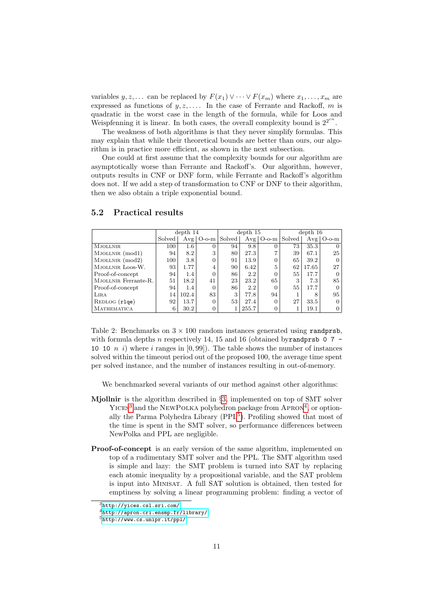variables y, z, ... can be replaced by  $F(x_1) \vee \cdots \vee F(x_m)$  where  $x_1, \ldots, x_m$  are expressed as functions of  $y, z, \ldots$ . In the case of Ferrante and Rackoff, m is quadratic in the worst case in the length of the formula, while for Loos and Weispfenning it is linear. In both cases, the overall complexity bound is  $2^{2^{cn}}$ .

The weakness of both algorithms is that they never simplify formulas. This may explain that while their theoretical bounds are better than ours, our algorithm is in practice more efficient, as shown in the next subsection.

One could at first assume that the complexity bounds for our algorithm are asymptotically worse than Ferrante and Rackoff's. Our algorithm, however, outputs results in CNF or DNF form, while Ferrante and Rackoff's algorithm does not. If we add a step of transformation to CNF or DNF to their algorithm, then we also obtain a triple exponential bound.

|                      | depth 14 |         |              | depth 15 |       |          | depth 16 |       |                  |
|----------------------|----------|---------|--------------|----------|-------|----------|----------|-------|------------------|
|                      | Solved   |         | $Avg O-o-m $ | Solved   | Avg   | $O$ -o-m | Solved   |       | $Avg \mid O-o-m$ |
| <b>MJOLLNIR</b>      | 100      | $1.6\,$ | $\Omega$     | 94       | 9.8   |          | 73       | 35.3  | 0                |
| MJOLINIR (mod 1)     | 94       | 8.2     | 3            | 80       | 27.3  | ⇁        | 39       | 67.1  | 25               |
| MJOLINIR (mod 2)     | 100      | 3.8     | $\Omega$     | 91       | 13.9  |          | 65       | 39.2  | 0                |
| MJOLLNIR LOOS-W.     | 93       | 1.77    |              | 90       | 6.42  | 5        | 62       | 17.65 | 27               |
| Proof-of-concept     | 94       | 1.4     | $\Omega$     | 86       | 2.2   |          | 55       | 17.7  | 0                |
| MJOLLNIR Ferrante-R. | 51       | 18.2    | 41           | 23       | 23.2  | 65       | 3        | 7.3   | 85               |
| Proof-of-concept     | 94       | 1.4     | $\Omega$     | 86       | 2.2   |          | 55       | 17.7  | 0                |
| LIRA                 | 14       | 102.4   | 83           | 3        | 77.8  | 94       |          | 8     | 95               |
| REDLOG (rlge)        | 92       | 13.7    | $\Omega$     | 53       | 27.4  |          | 27       | 33.5  | 0                |
| <b>MATHEMATICA</b>   | 6        | 30.2    |              |          | 255.7 |          |          | 19.1  | 0                |

### <span id="page-10-0"></span>5.2 Practical results

<span id="page-10-4"></span>Table 2: Benchmarks on  $3 \times 100$  random instances generated using randprsb, with formula depths  $n$  respectively 14, 15 and 16 (obtained byrandprsb 0 7 -10 10 n i) where i ranges in  $[0, 99]$ . The table shows the number of instances solved within the timeout period out of the proposed 100, the average time spent per solved instance, and the number of instances resulting in out-of-memory.

- We benchmarked several variants of our method against other algorithms:
- Mjollnir is the algorithm described in §[3,](#page-2-1) implemented on top of SMT solver YICES<sup>[3](#page-10-1)</sup> and the NEWPOLKA polyhedron package from APRON<sup>[4](#page-10-2)</sup>, or optionally the Parma Polyhedra Library (PPL[5](#page-10-3) ). Profiling showed that most of the time is spent in the SMT solver, so performance differences between NewPolka and PPL are negligible.
- **Proof-of-concept** is an early version of the same algorithm, implemented on top of a rudimentary SMT solver and the PPL. The SMT algorithm used is simple and lazy: the SMT problem is turned into SAT by replacing each atomic inequality by a propositional variable, and the SAT problem is input into Minisat. A full SAT solution is obtained, then tested for emptiness by solving a linear programming problem: finding a vector of

<span id="page-10-1"></span> $^3$ <http://yices.csl.sri.com/>

<span id="page-10-2"></span><sup>4</sup><http://apron.cri.ensmp.fr/library/>

<span id="page-10-3"></span><sup>5</sup><http://www.cs.unipr.it/ppl/>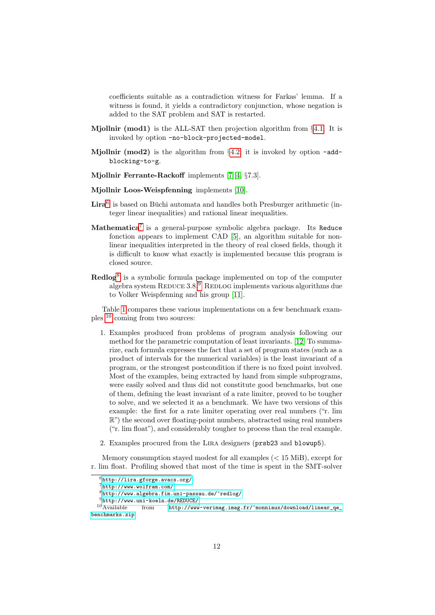coefficients suitable as a contradiction witness for Farkas' lemma. If a witness is found, it yields a contradictory conjunction, whose negation is added to the SAT problem and SAT is restarted.

- **Mjollnir** (mod1) is the ALL-SAT then projection algorithm from  $\S 4.1$ . It is invoked by option -no-block-projected-model.
- Mjollnir (mod2) is the algorithm from §[4.2;](#page-7-1) it is invoked by option -addblocking-to-g.
- Mjollnir Ferrante-Rackoff implements [\[7\]](#page-14-4)[\[4,](#page-13-1) §7.3].
- Mjollnir Loos-Weispfenning implements [\[10\]](#page-14-5).
- $\text{Lira}^6$  $\text{Lira}^6$  is based on Büchi automata and handles both Presburger arithmetic (integer linear inequalities) and rational linear inequalities.
- Mathematica<sup>[7](#page-11-1)</sup> is a general-purpose symbolic algebra package. Its Reduce fonction appears to implement CAD [\[5\]](#page-14-7), an algorithm suitable for nonlinear inequalities interpreted in the theory of real closed fields, though it is difficult to know what exactly is implemented because this program is closed source.
- Redlog<sup>[8](#page-11-2)</sup> is a symbolic formula package implemented on top of the computer algebra system REDUCE  $3.8.^9$  $3.8.^9$  REDLOG implements various algorithms due to Volker Weispfenning and his group [\[11\]](#page-14-8).

Table [1](#page-8-2) compares these various implementations on a few benchmark examples [10](#page-11-4) coming from two sources:

- 1. Examples produced from problems of program analysis following our method for the parametric computation of least invariants. [\[12\]](#page-14-9) To summarize, each formula expresses the fact that a set of program states (such as a product of intervals for the numerical variables) is the least invariant of a program, or the strongest postcondition if there is no fixed point involved. Most of the examples, being extracted by hand from simple subprograms, were easily solved and thus did not constitute good benchmarks, but one of them, defining the least invariant of a rate limiter, proved to be tougher to solve, and we selected it as a benchmark. We have two versions of this example: the first for a rate limiter operating over real numbers ("r. lim  $\mathbb{R}^n$ ) the second over floating-point numbers, abstracted using real numbers ("r. lim float"), and considerably tougher to process than the real example.
- 2. Examples procured from the Lira designers (prsb23 and blowup5).

Memory consumption stayed modest for all examples  $(< 15$  MiB), except for r. lim float. Profiling showed that most of the time is spent in the SMT-solver

<span id="page-11-0"></span> $^6$ <http://lira.gforge.avacs.org/>

<span id="page-11-1"></span><sup>7</sup><http://www.wolfram.com/>

<span id="page-11-2"></span><sup>8</sup><http://www.algebra.fim.uni-passau.de/~redlog/>

<span id="page-11-4"></span><span id="page-11-3"></span> $^{9}$ <http://www.uni-koeln.de/REDUCE/><br><sup>10</sup>Available from http://www.

from [http://www-verimag.imag.fr/~monniaux/download/linear\\_qe\\_](http://www-verimag.imag.fr/~monniaux/download/linear_qe_benchmarks.zip) [benchmarks.zip](http://www-verimag.imag.fr/~monniaux/download/linear_qe_benchmarks.zip).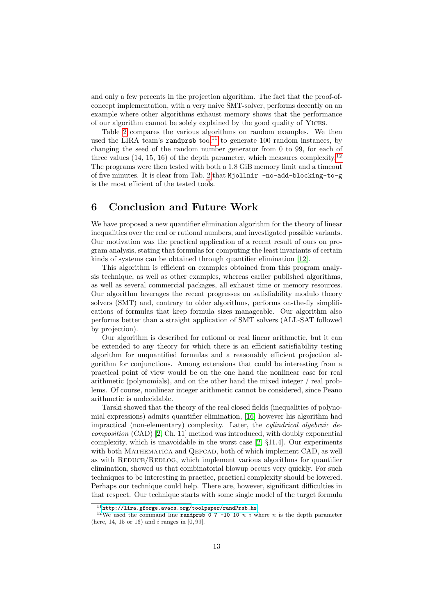and only a few percents in the projection algorithm. The fact that the proof-ofconcept implementation, with a very naive SMT-solver, performs decently on an example where other algorithms exhaust memory shows that the performance of our algorithm cannot be solely explained by the good quality of Yices.

Table [2](#page-10-4) compares the various algorithms on random examples. We then used the LIRA team's randprsb tool<sup>[11](#page-12-0)</sup> to generate 100 random instances, by changing the seed of the random number generator from 0 to 99, for each of three values  $(14, 15, 16)$  of the depth parameter, which measures complexity.<sup>[12](#page-12-1)</sup> The programs were then tested with both a 1.8 GiB memory limit and a timeout of five minutes. It is clear from Tab. [2](#page-10-4) that Mjollnir -no-add-blocking-to-g is the most efficient of the tested tools.

# 6 Conclusion and Future Work

We have proposed a new quantifier elimination algorithm for the theory of linear inequalities over the real or rational numbers, and investigated possible variants. Our motivation was the practical application of a recent result of ours on program analysis, stating that formulas for computing the least invariants of certain kinds of systems can be obtained through quantifier elimination [\[12\]](#page-14-9).

This algorithm is efficient on examples obtained from this program analysis technique, as well as other examples, whereas earlier published algorithms, as well as several commercial packages, all exhaust time or memory resources. Our algorithm leverages the recent progresses on satisfiability modulo theory solvers (SMT) and, contrary to older algorithms, performs on-the-fly simplifications of formulas that keep formula sizes manageable. Our algorithm also performs better than a straight application of SMT solvers (ALL-SAT followed by projection).

Our algorithm is described for rational or real linear arithmetic, but it can be extended to any theory for which there is an efficient satisfiability testing algorithm for unquantified formulas and a reasonably efficient projection algorithm for conjunctions. Among extensions that could be interesting from a practical point of view would be on the one hand the nonlinear case for real arithmetic (polynomials), and on the other hand the mixed integer / real problems. Of course, nonlinear integer arithmetic cannot be considered, since Peano arithmetic is undecidable.

Tarski showed that the theory of the real closed fields (inequalities of polynomial expressions) admits quantifier elimination, [\[16\]](#page-14-10) however his algorithm had impractical (non-elementary) complexity. Later, the *cylindrical algebraic de*composition (CAD) [\[2,](#page-13-2) Ch. 11] method was introduced, with doubly exponential complexity, which is unavoidable in the worst case  $[2, §11.4]$  $[2, §11.4]$ . Our experiments with both MATHEMATICA and QEPCAD, both of which implement CAD, as well as with REDUCE/REDLOG, which implement various algorithms for quantifier elimination, showed us that combinatorial blowup occurs very quickly. For such techniques to be interesting in practice, practical complexity should be lowered. Perhaps our technique could help. There are, however, significant difficulties in that respect. Our technique starts with some single model of the target formula

<span id="page-12-1"></span><span id="page-12-0"></span> $11$ <http://lira.gforge.avacs.org/toolpaper/randPrsb.hs>

<sup>&</sup>lt;sup>12</sup>We used the command line **randprsb** 0 7 -10 10 n i where n is the depth parameter (here, 14, 15 or 16) and  $i$  ranges in  $[0, 99]$ .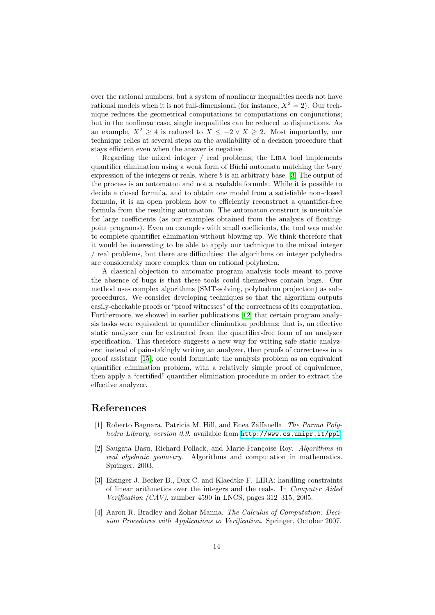over the rational numbers; but a system of nonlinear inequalities needs not have rational models when it is not full-dimensional (for instance,  $X^2 = 2$ ). Our technique reduces the geometrical computations to computations on conjunctions; but in the nonlinear case, single inequalities can be reduced to disjunctions. As an example,  $X^2 \geq 4$  is reduced to  $X \leq -2 \vee X \geq 2$ . Most importantly, our technique relies at several steps on the availability of a decision procedure that stays efficient even when the answer is negative.

Regarding the mixed integer / real problems, the Lira tool implements quantifier elimination using a weak form of Büchi automata matching the  $b$ -ary expression of the integers or reals, where  $b$  is an arbitrary base. [\[3\]](#page-13-3) The output of the process is an automaton and not a readable formula. While it is possible to decide a closed formula, and to obtain one model from a satisfiable non-closed formula, it is an open problem how to efficiently reconstruct a quantifier-free formula from the resulting automaton. The automaton construct is unsuitable for large coefficients (as our examples obtained from the analysis of floatingpoint programs). Even on examples with small coefficients, the tool was unable to complete quantifier elimination without blowing up. We think therefore that it would be interesting to be able to apply our technique to the mixed integer / real problems, but there are difficulties: the algorithms on integer polyhedra are considerably more complex than on rational polyhedra.

A classical objection to automatic program analysis tools meant to prove the absence of bugs is that these tools could themselves contain bugs. Our method uses complex algorithms (SMT-solving, polyhedron projection) as subprocedures. We consider developing techniques so that the algorithm outputs easily-checkable proofs or "proof witnesses" of the correctness of its computation. Furthermore, we showed in earlier publications [\[12\]](#page-14-9) that certain program analysis tasks were equivalent to quantifier elimination problems; that is, an effective static analyzer can be extracted from the quantifier-free form of an analyzer specification. This therefore suggests a new way for writing safe static analyzers: instead of painstakingly writing an analyzer, then proofs of correctness in a proof assistant [\[15\]](#page-14-11), one could formulate the analysis problem as an equivalent quantifier elimination problem, with a relatively simple proof of equivalence, then apply a "certified" quantifier elimination procedure in order to extract the effective analyzer.

# References

- <span id="page-13-0"></span>[1] Roberto Bagnara, Patricia M. Hill, and Enea Zaffanella. The Parma Polyhedra Library, version 0.9. available from <http://www.cs.unipr.it/ppl>.
- <span id="page-13-2"></span>[2] Saugata Basu, Richard Pollack, and Marie-Françoise Roy. Algorithms in real algebraic geometry. Algorithms and computation in mathematics. Springer, 2003.
- <span id="page-13-3"></span>[3] Eisinger J. Becker B., Dax C. and Klaedtke F. LIRA: handling constraints of linear arithmetics over the integers and the reals. In Computer Aided Verification  $(CAV)$ , number 4590 in LNCS, pages 312–315, 2005.
- <span id="page-13-1"></span>[4] Aaron R. Bradley and Zohar Manna. The Calculus of Computation: Decision Procedures with Applications to Verification. Springer, October 2007.